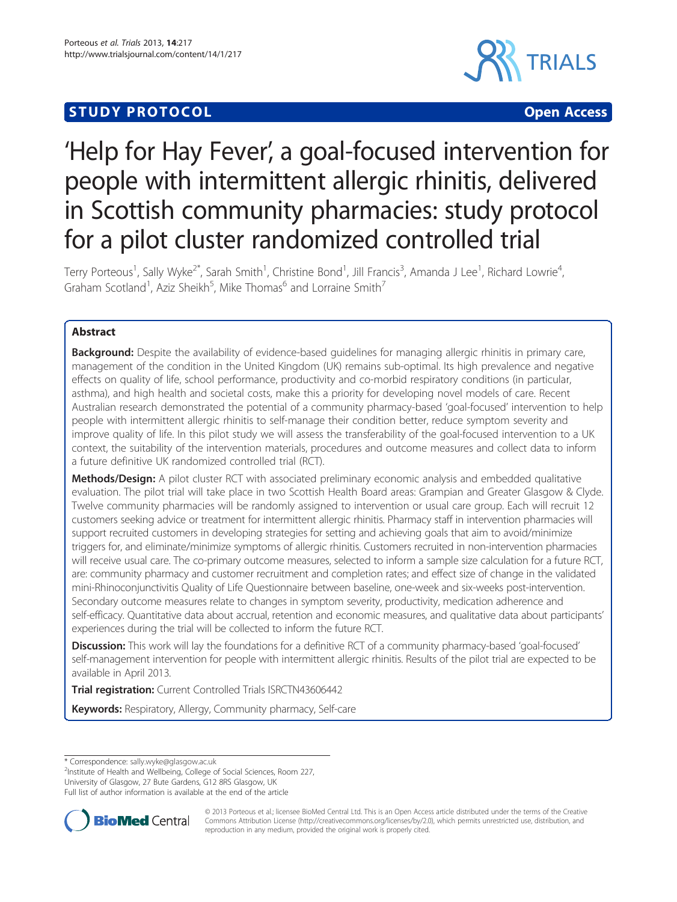## **STUDY PROTOCOL CONSUMING THE RESERVE ACCESS**



# 'Help for Hay Fever', a goal-focused intervention for people with intermittent allergic rhinitis, delivered in Scottish community pharmacies: study protocol for a pilot cluster randomized controlled trial

Terry Porteous<sup>1</sup>, Sally Wyke<sup>2\*</sup>, Sarah Smith<sup>1</sup>, Christine Bond<sup>1</sup>, Jill Francis<sup>3</sup>, Amanda J Lee<sup>1</sup>, Richard Lowrie<sup>4</sup> , Graham Scotland<sup>1</sup>, Aziz Sheikh<sup>5</sup>, Mike Thomas<sup>6</sup> and Lorraine Smith<sup>7</sup>

## Abstract

Background: Despite the availability of evidence-based quidelines for managing allergic rhinitis in primary care, management of the condition in the United Kingdom (UK) remains sub-optimal. Its high prevalence and negative effects on quality of life, school performance, productivity and co-morbid respiratory conditions (in particular, asthma), and high health and societal costs, make this a priority for developing novel models of care. Recent Australian research demonstrated the potential of a community pharmacy-based 'goal-focused' intervention to help people with intermittent allergic rhinitis to self-manage their condition better, reduce symptom severity and improve quality of life. In this pilot study we will assess the transferability of the goal-focused intervention to a UK context, the suitability of the intervention materials, procedures and outcome measures and collect data to inform a future definitive UK randomized controlled trial (RCT).

Methods/Design: A pilot cluster RCT with associated preliminary economic analysis and embedded qualitative evaluation. The pilot trial will take place in two Scottish Health Board areas: Grampian and Greater Glasgow & Clyde. Twelve community pharmacies will be randomly assigned to intervention or usual care group. Each will recruit 12 customers seeking advice or treatment for intermittent allergic rhinitis. Pharmacy staff in intervention pharmacies will support recruited customers in developing strategies for setting and achieving goals that aim to avoid/minimize triggers for, and eliminate/minimize symptoms of allergic rhinitis. Customers recruited in non-intervention pharmacies will receive usual care. The co-primary outcome measures, selected to inform a sample size calculation for a future RCT, are: community pharmacy and customer recruitment and completion rates; and effect size of change in the validated mini-Rhinoconjunctivitis Quality of Life Questionnaire between baseline, one-week and six-weeks post-intervention. Secondary outcome measures relate to changes in symptom severity, productivity, medication adherence and self-efficacy. Quantitative data about accrual, retention and economic measures, and qualitative data about participants' experiences during the trial will be collected to inform the future RCT.

Discussion: This work will lay the foundations for a definitive RCT of a community pharmacy-based 'qoal-focused' self-management intervention for people with intermittent allergic rhinitis. Results of the pilot trial are expected to be available in April 2013.

Trial registration: Current Controlled Trials [ISRCTN43606442](http://www.controlled-trials.com/ISRCTN43606442/)

Keywords: Respiratory, Allergy, Community pharmacy, Self-care

\* Correspondence: [sally.wyke@glasgow.ac.uk](mailto:sally.wyke@glasgow.ac.uk) <sup>2</sup>

<sup>2</sup>Institute of Health and Wellbeing, College of Social Sciences, Room 227, University of Glasgow, 27 Bute Gardens, G12 8RS Glasgow, UK

Full list of author information is available at the end of the article



© 2013 Porteous et al.; licensee BioMed Central Ltd. This is an Open Access article distributed under the terms of the Creative Commons Attribution License [\(http://creativecommons.org/licenses/by/2.0\)](http://creativecommons.org/licenses/by/2.0), which permits unrestricted use, distribution, and reproduction in any medium, provided the original work is properly cited.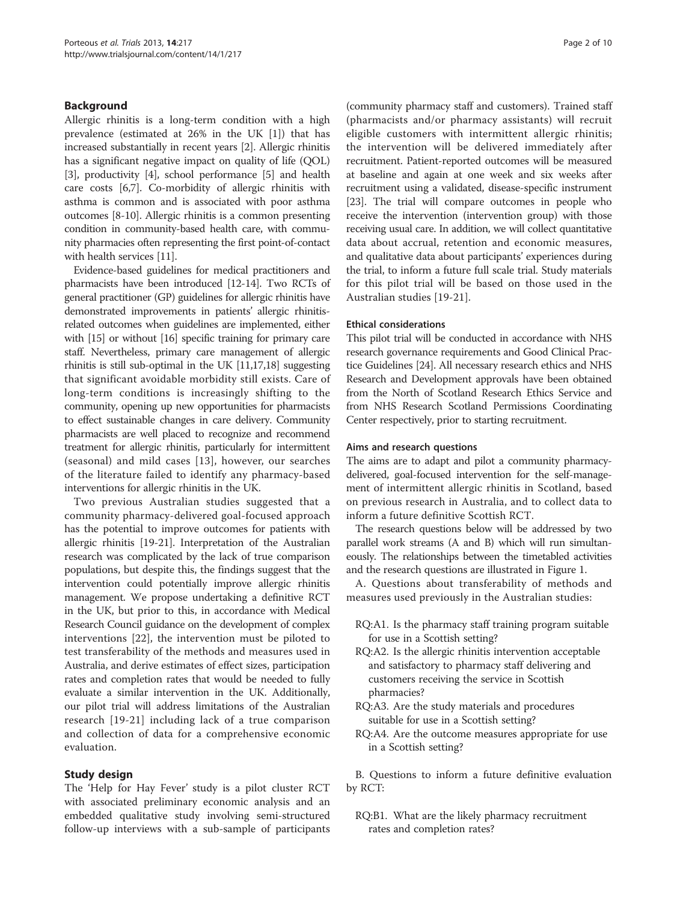## Background

Allergic rhinitis is a long-term condition with a high prevalence (estimated at 26% in the UK [[1\]](#page-8-0)) that has increased substantially in recent years [\[2\]](#page-8-0). Allergic rhinitis has a significant negative impact on quality of life (QOL) [[3\]](#page-8-0), productivity [\[4](#page-9-0)], school performance [[5\]](#page-9-0) and health care costs [\[6,7\]](#page-9-0). Co-morbidity of allergic rhinitis with asthma is common and is associated with poor asthma outcomes [[8-10\]](#page-9-0). Allergic rhinitis is a common presenting condition in community-based health care, with community pharmacies often representing the first point-of-contact with health services [\[11\]](#page-9-0).

Evidence-based guidelines for medical practitioners and pharmacists have been introduced [\[12](#page-9-0)-[14](#page-9-0)]. Two RCTs of general practitioner (GP) guidelines for allergic rhinitis have demonstrated improvements in patients' allergic rhinitisrelated outcomes when guidelines are implemented, either with [\[15\]](#page-9-0) or without [\[16\]](#page-9-0) specific training for primary care staff. Nevertheless, primary care management of allergic rhinitis is still sub-optimal in the UK [\[11,17,18](#page-9-0)] suggesting that significant avoidable morbidity still exists. Care of long-term conditions is increasingly shifting to the community, opening up new opportunities for pharmacists to effect sustainable changes in care delivery. Community pharmacists are well placed to recognize and recommend treatment for allergic rhinitis, particularly for intermittent (seasonal) and mild cases [[13](#page-9-0)], however, our searches of the literature failed to identify any pharmacy-based interventions for allergic rhinitis in the UK.

Two previous Australian studies suggested that a community pharmacy-delivered goal-focused approach has the potential to improve outcomes for patients with allergic rhinitis [\[19-21\]](#page-9-0). Interpretation of the Australian research was complicated by the lack of true comparison populations, but despite this, the findings suggest that the intervention could potentially improve allergic rhinitis management. We propose undertaking a definitive RCT in the UK, but prior to this, in accordance with Medical Research Council guidance on the development of complex interventions [[22](#page-9-0)], the intervention must be piloted to test transferability of the methods and measures used in Australia, and derive estimates of effect sizes, participation rates and completion rates that would be needed to fully evaluate a similar intervention in the UK. Additionally, our pilot trial will address limitations of the Australian research [[19](#page-9-0)-[21](#page-9-0)] including lack of a true comparison and collection of data for a comprehensive economic evaluation.

## Study design

The 'Help for Hay Fever' study is a pilot cluster RCT with associated preliminary economic analysis and an embedded qualitative study involving semi-structured follow-up interviews with a sub-sample of participants (community pharmacy staff and customers). Trained staff (pharmacists and/or pharmacy assistants) will recruit eligible customers with intermittent allergic rhinitis; the intervention will be delivered immediately after recruitment. Patient-reported outcomes will be measured at baseline and again at one week and six weeks after recruitment using a validated, disease-specific instrument [[23](#page-9-0)]. The trial will compare outcomes in people who receive the intervention (intervention group) with those receiving usual care. In addition, we will collect quantitative data about accrual, retention and economic measures, and qualitative data about participants' experiences during the trial, to inform a future full scale trial. Study materials for this pilot trial will be based on those used in the Australian studies [\[19](#page-9-0)-[21\]](#page-9-0).

## Ethical considerations

This pilot trial will be conducted in accordance with NHS research governance requirements and Good Clinical Practice Guidelines [\[24\]](#page-9-0). All necessary research ethics and NHS Research and Development approvals have been obtained from the North of Scotland Research Ethics Service and from NHS Research Scotland Permissions Coordinating Center respectively, prior to starting recruitment.

## Aims and research questions

The aims are to adapt and pilot a community pharmacydelivered, goal-focused intervention for the self-management of intermittent allergic rhinitis in Scotland, based on previous research in Australia, and to collect data to inform a future definitive Scottish RCT.

The research questions below will be addressed by two parallel work streams (A and B) which will run simultaneously. The relationships between the timetabled activities and the research questions are illustrated in Figure [1](#page-2-0).

A. Questions about transferability of methods and measures used previously in the Australian studies:

- RQ:A1. Is the pharmacy staff training program suitable for use in a Scottish setting?
- RQ:A2. Is the allergic rhinitis intervention acceptable and satisfactory to pharmacy staff delivering and customers receiving the service in Scottish pharmacies?
- RQ:A3. Are the study materials and procedures suitable for use in a Scottish setting?
- RQ:A4. Are the outcome measures appropriate for use in a Scottish setting?

B. Questions to inform a future definitive evaluation by RCT:

RQ:B1. What are the likely pharmacy recruitment rates and completion rates?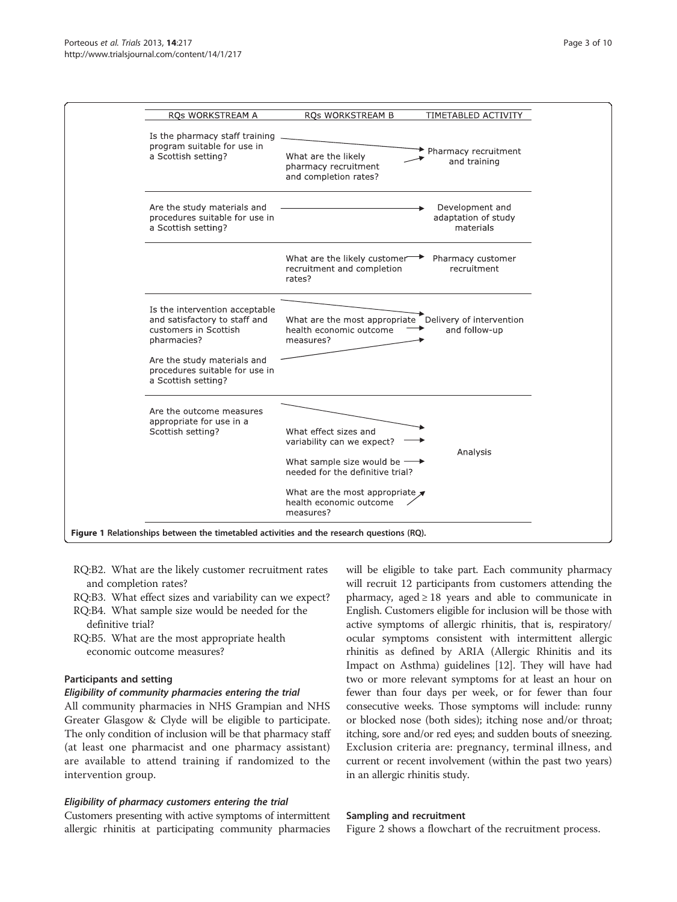<span id="page-2-0"></span>

| RQs WORKSTREAM A                                                                                                                       | ROS WORKSTREAM B                                                                               | TIMETABLED ACTIVITY                                 |
|----------------------------------------------------------------------------------------------------------------------------------------|------------------------------------------------------------------------------------------------|-----------------------------------------------------|
| Is the pharmacy staff training<br>program suitable for use in<br>a Scottish setting?                                                   | What are the likely<br>pharmacy recruitment<br>and completion rates?                           | ▶ Pharmacy recruitment<br>and training              |
| Are the study materials and<br>procedures suitable for use in<br>a Scottish setting?                                                   |                                                                                                | Development and<br>adaptation of study<br>materials |
|                                                                                                                                        | What are the likely customer<br>recruitment and completion<br>rates?                           | Pharmacy customer<br>recruitment                    |
| Is the intervention acceptable<br>and satisfactory to staff and<br>customers in Scottish<br>pharmacies?<br>Are the study materials and | What are the most appropriate Delivery of intervention<br>health economic outcome<br>measures? | and follow-up                                       |
| procedures suitable for use in<br>a Scottish setting?                                                                                  |                                                                                                |                                                     |
| Are the outcome measures<br>appropriate for use in a<br>Scottish setting?                                                              | What effect sizes and<br>variability can we expect?                                            | Analysis                                            |
|                                                                                                                                        | What sample size would be $\longrightarrow$<br>needed for the definitive trial?                |                                                     |
|                                                                                                                                        | What are the most appropriate $\pi$<br>health economic outcome<br>measures?                    |                                                     |

- RQ:B2. What are the likely customer recruitment rates and completion rates?
- RQ:B3. What effect sizes and variability can we expect?
- RQ:B4. What sample size would be needed for the definitive trial?
- RQ:B5. What are the most appropriate health economic outcome measures?

## Participants and setting

## Eligibility of community pharmacies entering the trial

All community pharmacies in NHS Grampian and NHS Greater Glasgow & Clyde will be eligible to participate. The only condition of inclusion will be that pharmacy staff (at least one pharmacist and one pharmacy assistant) are available to attend training if randomized to the intervention group.

## Eligibility of pharmacy customers entering the trial

Customers presenting with active symptoms of intermittent allergic rhinitis at participating community pharmacies

will be eligible to take part. Each community pharmacy will recruit 12 participants from customers attending the pharmacy, aged  $\geq 18$  years and able to communicate in English. Customers eligible for inclusion will be those with active symptoms of allergic rhinitis, that is, respiratory/ ocular symptoms consistent with intermittent allergic rhinitis as defined by ARIA (Allergic Rhinitis and its Impact on Asthma) guidelines [[12](#page-9-0)]. They will have had two or more relevant symptoms for at least an hour on fewer than four days per week, or for fewer than four consecutive weeks. Those symptoms will include: runny or blocked nose (both sides); itching nose and/or throat; itching, sore and/or red eyes; and sudden bouts of sneezing. Exclusion criteria are: pregnancy, terminal illness, and current or recent involvement (within the past two years) in an allergic rhinitis study.

## Sampling and recruitment

Figure [2](#page-3-0) shows a flowchart of the recruitment process.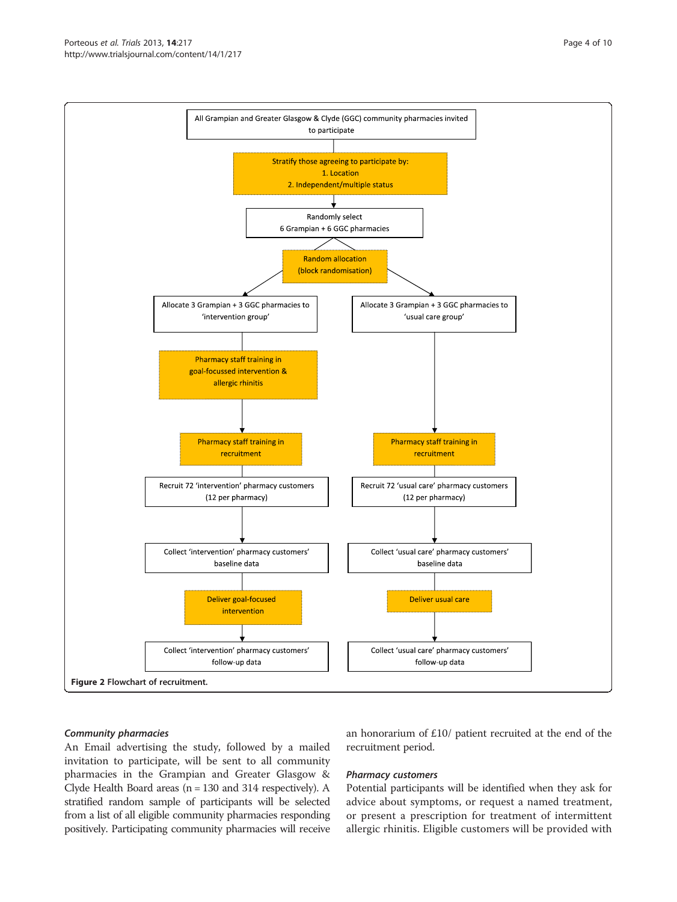<span id="page-3-0"></span>Porteous et al. Trials 2013, 14:217 Page 4 of 10 http://www.trialsjournal.com/content/14/1/217



## Community pharmacies

An Email advertising the study, followed by a mailed invitation to participate, will be sent to all community pharmacies in the Grampian and Greater Glasgow & Clyde Health Board areas (n = 130 and 314 respectively). A stratified random sample of participants will be selected from a list of all eligible community pharmacies responding positively. Participating community pharmacies will receive an honorarium of £10/ patient recruited at the end of the recruitment period.

## Pharmacy customers

Potential participants will be identified when they ask for advice about symptoms, or request a named treatment, or present a prescription for treatment of intermittent allergic rhinitis. Eligible customers will be provided with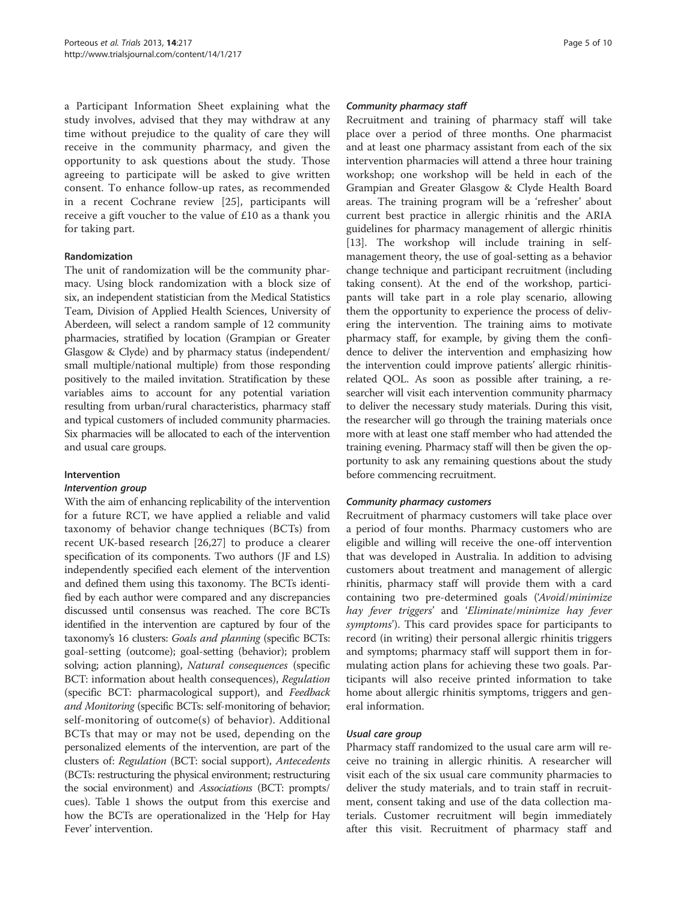a Participant Information Sheet explaining what the study involves, advised that they may withdraw at any time without prejudice to the quality of care they will receive in the community pharmacy, and given the opportunity to ask questions about the study. Those agreeing to participate will be asked to give written consent. To enhance follow-up rates, as recommended in a recent Cochrane review [\[25](#page-9-0)], participants will receive a gift voucher to the value of £10 as a thank you for taking part.

## Randomization

The unit of randomization will be the community pharmacy. Using block randomization with a block size of six, an independent statistician from the Medical Statistics Team, Division of Applied Health Sciences, University of Aberdeen, will select a random sample of 12 community pharmacies, stratified by location (Grampian or Greater Glasgow & Clyde) and by pharmacy status (independent/ small multiple/national multiple) from those responding positively to the mailed invitation. Stratification by these variables aims to account for any potential variation resulting from urban/rural characteristics, pharmacy staff and typical customers of included community pharmacies. Six pharmacies will be allocated to each of the intervention and usual care groups.

## Intervention

## Intervention group

With the aim of enhancing replicability of the intervention for a future RCT, we have applied a reliable and valid taxonomy of behavior change techniques (BCTs) from recent UK-based research [[26,27\]](#page-9-0) to produce a clearer specification of its components. Two authors (JF and LS) independently specified each element of the intervention and defined them using this taxonomy. The BCTs identified by each author were compared and any discrepancies discussed until consensus was reached. The core BCTs identified in the intervention are captured by four of the taxonomy's 16 clusters: Goals and planning (specific BCTs: goal-setting (outcome); goal-setting (behavior); problem solving; action planning), *Natural consequences* (specific BCT: information about health consequences), Regulation (specific BCT: pharmacological support), and Feedback and Monitoring (specific BCTs: self-monitoring of behavior; self-monitoring of outcome(s) of behavior). Additional BCTs that may or may not be used, depending on the personalized elements of the intervention, are part of the clusters of: Regulation (BCT: social support), Antecedents (BCTs: restructuring the physical environment; restructuring the social environment) and Associations (BCT: prompts/ cues). Table [1](#page-5-0) shows the output from this exercise and how the BCTs are operationalized in the 'Help for Hay Fever' intervention.

## Community pharmacy staff

Recruitment and training of pharmacy staff will take place over a period of three months. One pharmacist and at least one pharmacy assistant from each of the six intervention pharmacies will attend a three hour training workshop; one workshop will be held in each of the Grampian and Greater Glasgow & Clyde Health Board areas. The training program will be a 'refresher' about current best practice in allergic rhinitis and the ARIA guidelines for pharmacy management of allergic rhinitis [[13\]](#page-9-0). The workshop will include training in selfmanagement theory, the use of goal-setting as a behavior change technique and participant recruitment (including taking consent). At the end of the workshop, participants will take part in a role play scenario, allowing them the opportunity to experience the process of delivering the intervention. The training aims to motivate pharmacy staff, for example, by giving them the confidence to deliver the intervention and emphasizing how the intervention could improve patients' allergic rhinitisrelated QOL. As soon as possible after training, a researcher will visit each intervention community pharmacy to deliver the necessary study materials. During this visit, the researcher will go through the training materials once more with at least one staff member who had attended the training evening. Pharmacy staff will then be given the opportunity to ask any remaining questions about the study before commencing recruitment.

## Community pharmacy customers

Recruitment of pharmacy customers will take place over a period of four months. Pharmacy customers who are eligible and willing will receive the one-off intervention that was developed in Australia. In addition to advising customers about treatment and management of allergic rhinitis, pharmacy staff will provide them with a card containing two pre-determined goals ('Avoid/minimize hay fever triggers' and 'Eliminate/minimize hay fever symptoms'). This card provides space for participants to record (in writing) their personal allergic rhinitis triggers and symptoms; pharmacy staff will support them in formulating action plans for achieving these two goals. Participants will also receive printed information to take home about allergic rhinitis symptoms, triggers and general information.

## Usual care group

Pharmacy staff randomized to the usual care arm will receive no training in allergic rhinitis. A researcher will visit each of the six usual care community pharmacies to deliver the study materials, and to train staff in recruitment, consent taking and use of the data collection materials. Customer recruitment will begin immediately after this visit. Recruitment of pharmacy staff and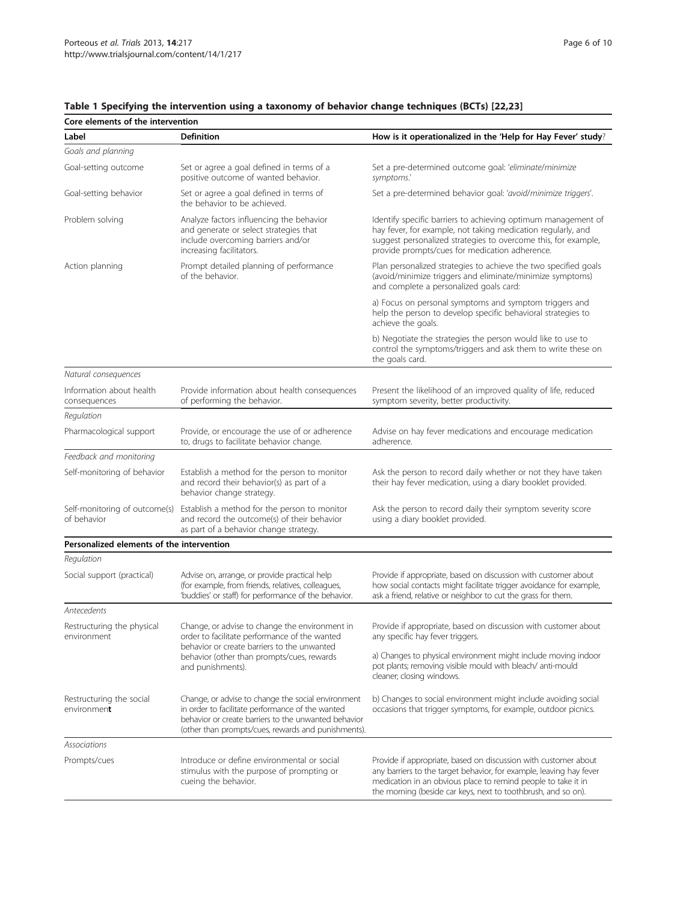<span id="page-5-0"></span>

| Table 1 Specifying the intervention using a taxonomy of behavior change techniques (BCTs) [22,23] |  |  |  |
|---------------------------------------------------------------------------------------------------|--|--|--|
|---------------------------------------------------------------------------------------------------|--|--|--|

| Label                                     | <b>Definition</b>                                                                                                                                                                                                     | How is it operationalized in the 'Help for Hay Fever' study?                                                                                                                                                                                                             |
|-------------------------------------------|-----------------------------------------------------------------------------------------------------------------------------------------------------------------------------------------------------------------------|--------------------------------------------------------------------------------------------------------------------------------------------------------------------------------------------------------------------------------------------------------------------------|
| Goals and planning                        |                                                                                                                                                                                                                       |                                                                                                                                                                                                                                                                          |
| Goal-setting outcome                      | Set or agree a goal defined in terms of a<br>positive outcome of wanted behavior.                                                                                                                                     | Set a pre-determined outcome goal: 'eliminate/minimize<br>symptoms.'                                                                                                                                                                                                     |
| Goal-setting behavior                     | Set or agree a goal defined in terms of<br>the behavior to be achieved.                                                                                                                                               | Set a pre-determined behavior goal: 'avoid/minimize triggers'.                                                                                                                                                                                                           |
| Problem solving                           | Analyze factors influencing the behavior<br>and generate or select strategies that<br>include overcoming barriers and/or<br>increasing facilitators.                                                                  | Identify specific barriers to achieving optimum management of<br>hay fever, for example, not taking medication regularly, and<br>suggest personalized strategies to overcome this, for example,<br>provide prompts/cues for medication adherence.                        |
| Action planning                           | Prompt detailed planning of performance<br>of the behavior.                                                                                                                                                           | Plan personalized strategies to achieve the two specified goals<br>(avoid/minimize triggers and eliminate/minimize symptoms)<br>and complete a personalized goals card:                                                                                                  |
|                                           |                                                                                                                                                                                                                       | a) Focus on personal symptoms and symptom triggers and<br>help the person to develop specific behavioral strategies to<br>achieve the goals.                                                                                                                             |
|                                           |                                                                                                                                                                                                                       | b) Negotiate the strategies the person would like to use to<br>control the symptoms/triggers and ask them to write these on<br>the goals card.                                                                                                                           |
| Natural consequences                      |                                                                                                                                                                                                                       |                                                                                                                                                                                                                                                                          |
| Information about health<br>consequences  | Provide information about health consequences<br>of performing the behavior.                                                                                                                                          | Present the likelihood of an improved quality of life, reduced<br>symptom severity, better productivity.                                                                                                                                                                 |
| Regulation                                |                                                                                                                                                                                                                       |                                                                                                                                                                                                                                                                          |
| Pharmacological support                   | Provide, or encourage the use of or adherence<br>to, drugs to facilitate behavior change.                                                                                                                             | Advise on hay fever medications and encourage medication<br>adherence.                                                                                                                                                                                                   |
| Feedback and monitoring                   |                                                                                                                                                                                                                       |                                                                                                                                                                                                                                                                          |
| Self-monitoring of behavior               | Establish a method for the person to monitor<br>and record their behavior(s) as part of a<br>behavior change strategy.                                                                                                | Ask the person to record daily whether or not they have taken<br>their hay fever medication, using a diary booklet provided.                                                                                                                                             |
| of behavior                               | Self-monitoring of outcome(s) Establish a method for the person to monitor<br>and record the outcome(s) of their behavior<br>as part of a behavior change strategy.                                                   | Ask the person to record daily their symptom severity score<br>using a diary booklet provided.                                                                                                                                                                           |
| Personalized elements of the intervention |                                                                                                                                                                                                                       |                                                                                                                                                                                                                                                                          |
| Regulation                                |                                                                                                                                                                                                                       |                                                                                                                                                                                                                                                                          |
| Social support (practical)                | Advise on, arrange, or provide practical help<br>(for example, from friends, relatives, colleagues,<br>'buddies' or staff) for performance of the behavior.                                                           | Provide if appropriate, based on discussion with customer about<br>how social contacts might facilitate trigger avoidance for example,<br>ask a friend, relative or neighbor to cut the grass for them.                                                                  |
| Antecedents                               |                                                                                                                                                                                                                       |                                                                                                                                                                                                                                                                          |
| Restructuring the physical<br>environment | Change, or advise to change the environment in<br>order to facilitate performance of the wanted<br>behavior or create barriers to the unwanted                                                                        | Provide if appropriate, based on discussion with customer about<br>any specific hay fever triggers.                                                                                                                                                                      |
|                                           | behavior (other than prompts/cues, rewards<br>and punishments).                                                                                                                                                       | a) Changes to physical environment might include moving indoor<br>pot plants; removing visible mould with bleach/anti-mould<br>cleaner; closing windows.                                                                                                                 |
| Restructuring the social<br>environment   | Change, or advise to change the social environment<br>in order to facilitate performance of the wanted<br>behavior or create barriers to the unwanted behavior<br>(other than prompts/cues, rewards and punishments). | b) Changes to social environment might include avoiding social<br>occasions that trigger symptoms, for example, outdoor picnics.                                                                                                                                         |
| Associations                              |                                                                                                                                                                                                                       |                                                                                                                                                                                                                                                                          |
| Prompts/cues                              | Introduce or define environmental or social<br>stimulus with the purpose of prompting or<br>cueing the behavior.                                                                                                      | Provide if appropriate, based on discussion with customer about<br>any barriers to the target behavior, for example, leaving hay fever<br>medication in an obvious place to remind people to take it in<br>the morning (beside car keys, next to toothbrush, and so on). |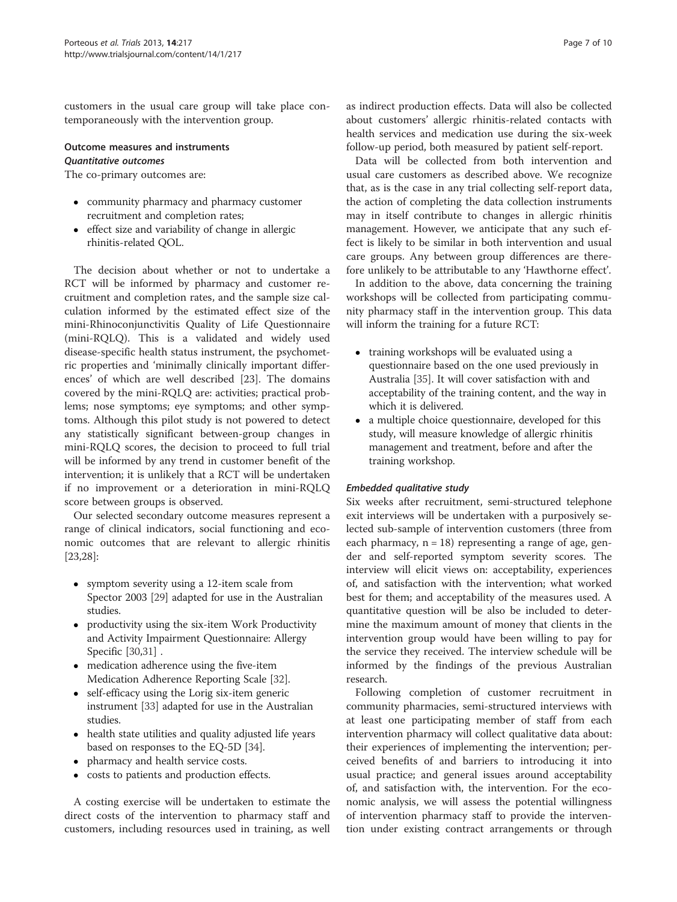customers in the usual care group will take place contemporaneously with the intervention group.

## Outcome measures and instruments Quantitative outcomes

The co-primary outcomes are:

- community pharmacy and pharmacy customer recruitment and completion rates;
- effect size and variability of change in allergic rhinitis-related QOL.

The decision about whether or not to undertake a RCT will be informed by pharmacy and customer recruitment and completion rates, and the sample size calculation informed by the estimated effect size of the mini-Rhinoconjunctivitis Quality of Life Questionnaire (mini-RQLQ). This is a validated and widely used disease-specific health status instrument, the psychometric properties and 'minimally clinically important differences' of which are well described [\[23](#page-9-0)]. The domains covered by the mini-RQLQ are: activities; practical problems; nose symptoms; eye symptoms; and other symptoms. Although this pilot study is not powered to detect any statistically significant between-group changes in mini-RQLQ scores, the decision to proceed to full trial will be informed by any trend in customer benefit of the intervention; it is unlikely that a RCT will be undertaken if no improvement or a deterioration in mini-RQLQ score between groups is observed.

Our selected secondary outcome measures represent a range of clinical indicators, social functioning and economic outcomes that are relevant to allergic rhinitis [[23,28\]](#page-9-0):

- symptom severity using a 12-item scale from Spector 2003 [[29](#page-9-0)] adapted for use in the Australian studies.
- productivity using the six-item Work Productivity and Activity Impairment Questionnaire: Allergy Specific [[30,31](#page-9-0)] .
- medication adherence using the five-item Medication Adherence Reporting Scale [[32](#page-9-0)].
- self-efficacy using the Lorig six-item generic instrument [\[33\]](#page-9-0) adapted for use in the Australian studies.
- health state utilities and quality adjusted life years based on responses to the EQ-5D [\[34](#page-9-0)].
- pharmacy and health service costs.
- costs to patients and production effects.

A costing exercise will be undertaken to estimate the direct costs of the intervention to pharmacy staff and customers, including resources used in training, as well

Data will be collected from both intervention and usual care customers as described above. We recognize that, as is the case in any trial collecting self-report data, the action of completing the data collection instruments may in itself contribute to changes in allergic rhinitis management. However, we anticipate that any such effect is likely to be similar in both intervention and usual care groups. Any between group differences are therefore unlikely to be attributable to any 'Hawthorne effect'.

In addition to the above, data concerning the training workshops will be collected from participating community pharmacy staff in the intervention group. This data will inform the training for a future RCT:

- training workshops will be evaluated using a questionnaire based on the one used previously in Australia [[35\]](#page-9-0). It will cover satisfaction with and acceptability of the training content, and the way in which it is delivered.
- a multiple choice questionnaire, developed for this study, will measure knowledge of allergic rhinitis management and treatment, before and after the training workshop.

## Embedded qualitative study

Six weeks after recruitment, semi-structured telephone exit interviews will be undertaken with a purposively selected sub-sample of intervention customers (three from each pharmacy,  $n = 18$ ) representing a range of age, gender and self-reported symptom severity scores. The interview will elicit views on: acceptability, experiences of, and satisfaction with the intervention; what worked best for them; and acceptability of the measures used. A quantitative question will be also be included to determine the maximum amount of money that clients in the intervention group would have been willing to pay for the service they received. The interview schedule will be informed by the findings of the previous Australian research.

Following completion of customer recruitment in community pharmacies, semi-structured interviews with at least one participating member of staff from each intervention pharmacy will collect qualitative data about: their experiences of implementing the intervention; perceived benefits of and barriers to introducing it into usual practice; and general issues around acceptability of, and satisfaction with, the intervention. For the economic analysis, we will assess the potential willingness of intervention pharmacy staff to provide the intervention under existing contract arrangements or through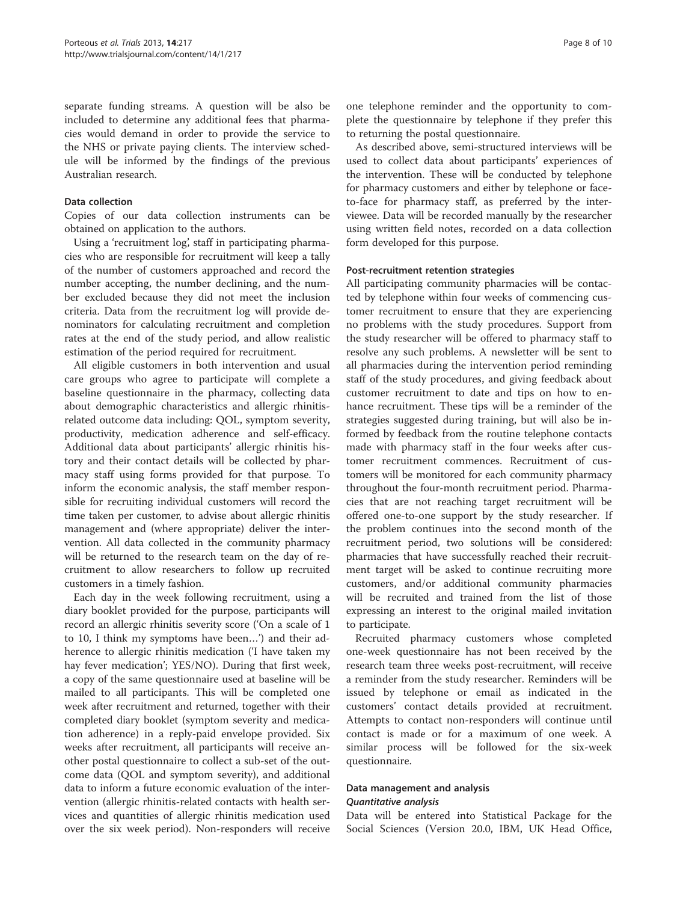separate funding streams. A question will be also be included to determine any additional fees that pharmacies would demand in order to provide the service to the NHS or private paying clients. The interview schedule will be informed by the findings of the previous Australian research.

## Data collection

Copies of our data collection instruments can be obtained on application to the authors.

Using a 'recruitment log', staff in participating pharmacies who are responsible for recruitment will keep a tally of the number of customers approached and record the number accepting, the number declining, and the number excluded because they did not meet the inclusion criteria. Data from the recruitment log will provide denominators for calculating recruitment and completion rates at the end of the study period, and allow realistic estimation of the period required for recruitment.

All eligible customers in both intervention and usual care groups who agree to participate will complete a baseline questionnaire in the pharmacy, collecting data about demographic characteristics and allergic rhinitisrelated outcome data including: QOL, symptom severity, productivity, medication adherence and self-efficacy. Additional data about participants' allergic rhinitis history and their contact details will be collected by pharmacy staff using forms provided for that purpose. To inform the economic analysis, the staff member responsible for recruiting individual customers will record the time taken per customer, to advise about allergic rhinitis management and (where appropriate) deliver the intervention. All data collected in the community pharmacy will be returned to the research team on the day of recruitment to allow researchers to follow up recruited customers in a timely fashion.

Each day in the week following recruitment, using a diary booklet provided for the purpose, participants will record an allergic rhinitis severity score ('On a scale of 1 to 10, I think my symptoms have been…') and their adherence to allergic rhinitis medication ('I have taken my hay fever medication'; YES/NO). During that first week, a copy of the same questionnaire used at baseline will be mailed to all participants. This will be completed one week after recruitment and returned, together with their completed diary booklet (symptom severity and medication adherence) in a reply-paid envelope provided. Six weeks after recruitment, all participants will receive another postal questionnaire to collect a sub-set of the outcome data (QOL and symptom severity), and additional data to inform a future economic evaluation of the intervention (allergic rhinitis-related contacts with health services and quantities of allergic rhinitis medication used over the six week period). Non-responders will receive one telephone reminder and the opportunity to complete the questionnaire by telephone if they prefer this to returning the postal questionnaire.

As described above, semi-structured interviews will be used to collect data about participants' experiences of the intervention. These will be conducted by telephone for pharmacy customers and either by telephone or faceto-face for pharmacy staff, as preferred by the interviewee. Data will be recorded manually by the researcher using written field notes, recorded on a data collection form developed for this purpose.

## Post-recruitment retention strategies

All participating community pharmacies will be contacted by telephone within four weeks of commencing customer recruitment to ensure that they are experiencing no problems with the study procedures. Support from the study researcher will be offered to pharmacy staff to resolve any such problems. A newsletter will be sent to all pharmacies during the intervention period reminding staff of the study procedures, and giving feedback about customer recruitment to date and tips on how to enhance recruitment. These tips will be a reminder of the strategies suggested during training, but will also be informed by feedback from the routine telephone contacts made with pharmacy staff in the four weeks after customer recruitment commences. Recruitment of customers will be monitored for each community pharmacy throughout the four-month recruitment period. Pharmacies that are not reaching target recruitment will be offered one-to-one support by the study researcher. If the problem continues into the second month of the recruitment period, two solutions will be considered: pharmacies that have successfully reached their recruitment target will be asked to continue recruiting more customers, and/or additional community pharmacies will be recruited and trained from the list of those expressing an interest to the original mailed invitation to participate.

Recruited pharmacy customers whose completed one-week questionnaire has not been received by the research team three weeks post-recruitment, will receive a reminder from the study researcher. Reminders will be issued by telephone or email as indicated in the customers' contact details provided at recruitment. Attempts to contact non-responders will continue until contact is made or for a maximum of one week. A similar process will be followed for the six-week questionnaire.

## Data management and analysis Quantitative analysis

Data will be entered into Statistical Package for the Social Sciences (Version 20.0, IBM, UK Head Office,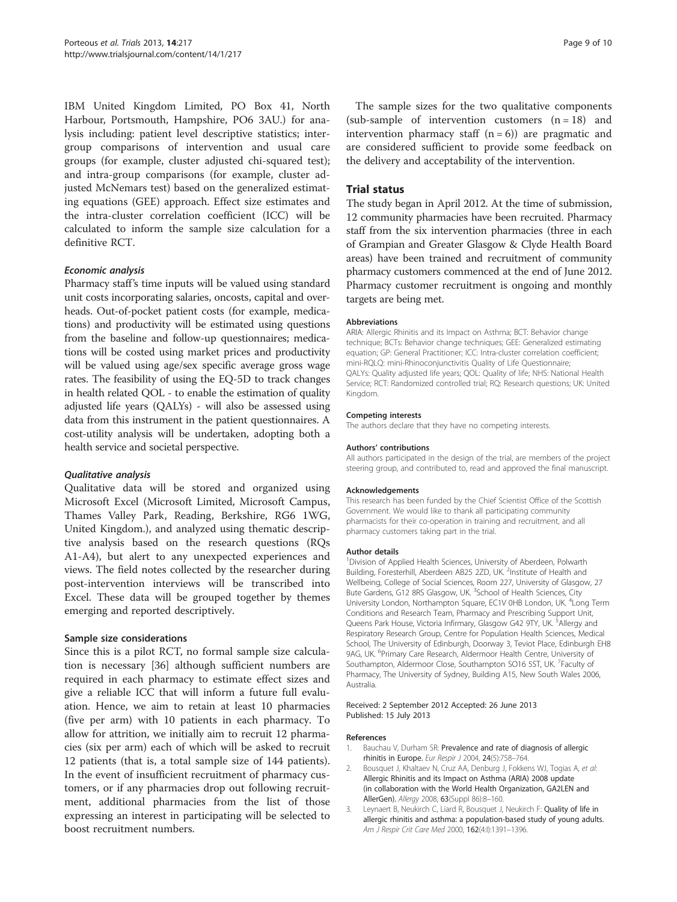<span id="page-8-0"></span>IBM United Kingdom Limited, PO Box 41, North Harbour, Portsmouth, Hampshire, PO6 3AU.) for analysis including: patient level descriptive statistics; intergroup comparisons of intervention and usual care groups (for example, cluster adjusted chi-squared test); and intra-group comparisons (for example, cluster adjusted McNemars test) based on the generalized estimating equations (GEE) approach. Effect size estimates and the intra-cluster correlation coefficient (ICC) will be calculated to inform the sample size calculation for a definitive RCT.

## Economic analysis

Pharmacy staff's time inputs will be valued using standard unit costs incorporating salaries, oncosts, capital and overheads. Out-of-pocket patient costs (for example, medications) and productivity will be estimated using questions from the baseline and follow-up questionnaires; medications will be costed using market prices and productivity will be valued using age/sex specific average gross wage rates. The feasibility of using the EQ-5D to track changes in health related QOL - to enable the estimation of quality adjusted life years (QALYs) - will also be assessed using data from this instrument in the patient questionnaires. A cost-utility analysis will be undertaken, adopting both a health service and societal perspective.

## Qualitative analysis

Qualitative data will be stored and organized using Microsoft Excel (Microsoft Limited, Microsoft Campus, Thames Valley Park, Reading, Berkshire, RG6 1WG, United Kingdom.), and analyzed using thematic descriptive analysis based on the research questions (RQs A1-A4), but alert to any unexpected experiences and views. The field notes collected by the researcher during post-intervention interviews will be transcribed into Excel. These data will be grouped together by themes emerging and reported descriptively.

#### Sample size considerations

Since this is a pilot RCT, no formal sample size calculation is necessary [\[36\]](#page-9-0) although sufficient numbers are required in each pharmacy to estimate effect sizes and give a reliable ICC that will inform a future full evaluation. Hence, we aim to retain at least 10 pharmacies (five per arm) with 10 patients in each pharmacy. To allow for attrition, we initially aim to recruit 12 pharmacies (six per arm) each of which will be asked to recruit 12 patients (that is, a total sample size of 144 patients). In the event of insufficient recruitment of pharmacy customers, or if any pharmacies drop out following recruitment, additional pharmacies from the list of those expressing an interest in participating will be selected to boost recruitment numbers.

The sample sizes for the two qualitative components (sub-sample of intervention customers  $(n = 18)$  and intervention pharmacy staff  $(n = 6)$  are pragmatic and are considered sufficient to provide some feedback on the delivery and acceptability of the intervention.

## Trial status

The study began in April 2012. At the time of submission, 12 community pharmacies have been recruited. Pharmacy staff from the six intervention pharmacies (three in each of Grampian and Greater Glasgow & Clyde Health Board areas) have been trained and recruitment of community pharmacy customers commenced at the end of June 2012. Pharmacy customer recruitment is ongoing and monthly targets are being met.

#### Abbreviations

ARIA: Allergic Rhinitis and its Impact on Asthma; BCT: Behavior change technique; BCTs: Behavior change techniques; GEE: Generalized estimating equation; GP: General Practitioner; ICC: Intra-cluster correlation coefficient; mini-RQLQ: mini-Rhinoconjunctivitis Quality of Life Questionnaire; QALYs: Quality adjusted life years; QOL: Quality of life; NHS: National Health Service; RCT: Randomized controlled trial; RQ: Research questions; UK: United Kingdom.

#### Competing interests

The authors declare that they have no competing interests.

#### Authors' contributions

All authors participated in the design of the trial, are members of the project steering group, and contributed to, read and approved the final manuscript.

#### Acknowledgements

This research has been funded by the Chief Scientist Office of the Scottish Government. We would like to thank all participating community pharmacists for their co-operation in training and recruitment, and all pharmacy customers taking part in the trial.

#### Author details

<sup>1</sup> Division of Applied Health Sciences, University of Aberdeen, Polwarth Building, Foresterhill, Aberdeen AB25 2ZD, UK. <sup>2</sup>Institute of Health and Wellbeing, College of Social Sciences, Room 227, University of Glasgow, 27 Bute Gardens, G12 8RS Glasgow, UK. <sup>3</sup>School of Health Sciences, City University London, Northampton Square, EC1V 0HB London, UK. <sup>4</sup>Long Term Conditions and Research Team, Pharmacy and Prescribing Support Unit, Queens Park House, Victoria Infirmary, Glasgow G42 9TY, UK. <sup>5</sup>Allergy and Respiratory Research Group, Centre for Population Health Sciences, Medical School, The University of Edinburgh, Doorway 3, Teviot Place, Edinburgh EH8 9AG, UK. <sup>6</sup>Primary Care Research, Aldermoor Health Centre, University of Southampton, Aldermoor Close, Southampton SO16 5ST, UK. <sup>7</sup>Faculty of Pharmacy, The University of Sydney, Building A15, New South Wales 2006, Australia.

#### Received: 2 September 2012 Accepted: 26 June 2013 Published: 15 July 2013

#### References

- 1. Bauchau V, Durham SR: Prevalence and rate of diagnosis of allergic rhinitis in Europe. Eur Respir J 2004, 24(5):758–764.
- Bousquet J, Khaltaev N, Cruz AA, Denburg J, Fokkens WJ, Togias A, et al: Allergic Rhinitis and its Impact on Asthma (ARIA) 2008 update (in collaboration with the World Health Organization, GA2LEN and AllerGen). Allergy 2008, 63(Suppl 86):8–160.
- 3. Leynaert B, Neukirch C, Liard R, Bousquet J, Neukirch F: Quality of life in allergic rhinitis and asthma: a population-based study of young adults. Am J Respir Crit Care Med 2000, 162(4:I):1391–1396.